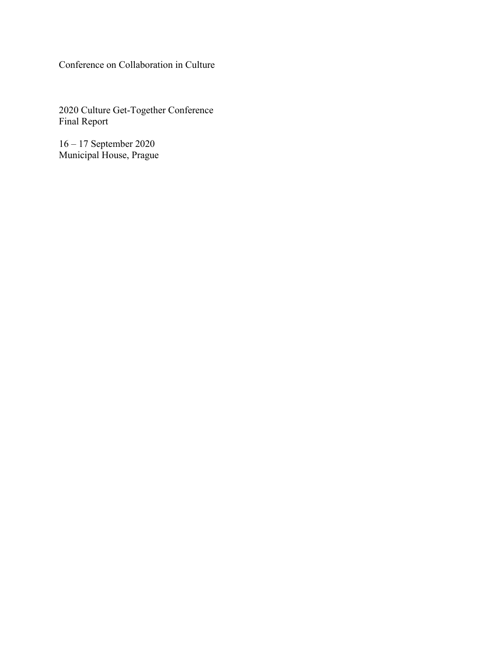Conference on Collaboration in Culture

2020 Culture Get-Together Conference Final Report

16 – 17 September 2020 Municipal House, Prague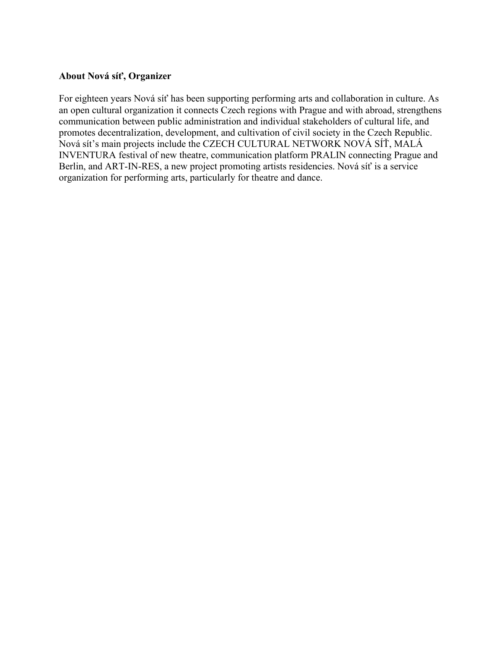#### **About Nová síť, Organizer**

For eighteen years Nová síť has been supporting performing arts and collaboration in culture. As an open cultural organization it connects Czech regions with Prague and with abroad, strengthens communication between public administration and individual stakeholders of cultural life, and promotes decentralization, development, and cultivation of civil society in the Czech Republic. Nová sít's main projects include the CZECH CULTURAL NETWORK NOVÁ SÍŤ, MALÁ INVENTURA festival of new theatre, communication platform PRALIN connecting Prague and Berlin, and ART-IN-RES, a new project promoting artists residencies. Nová síť is a service organization for performing arts, particularly for theatre and dance.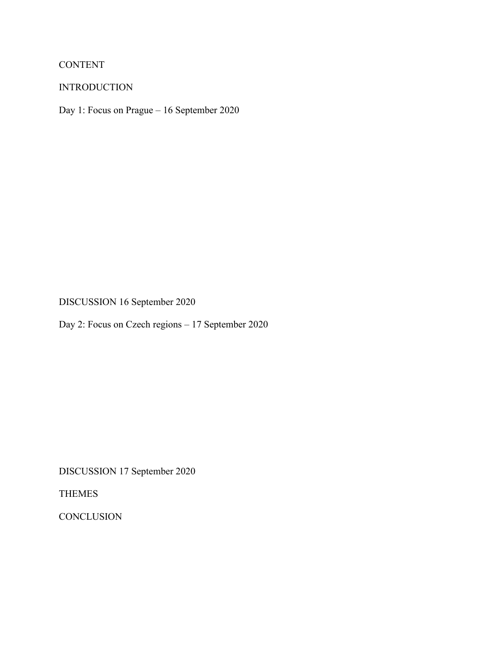# CONTENT

### INTRODUCTION

Day 1: Focus on Prague – 16 September 2020

DISCUSSION 16 September 2020

Day 2: Focus on Czech regions – 17 September 2020

DISCUSSION 17 September 2020

THEMES

**CONCLUSION**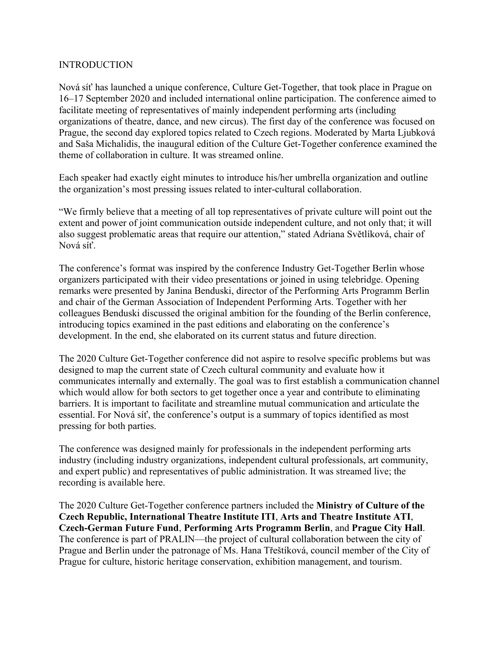#### INTRODUCTION

Nová síť has launched a unique conference, Culture Get-Together, that took place in Prague on 16–17 September 2020 and included international online participation. The conference aimed to facilitate meeting of representatives of mainly independent performing arts (including organizations of theatre, dance, and new circus). The first day of the conference was focused on Prague, the second day explored topics related to Czech regions. Moderated by Marta Ljubková and Saša Michalidis, the inaugural edition of the Culture Get-Together conference examined the theme of collaboration in culture. It was streamed online.

Each speaker had exactly eight minutes to introduce his/her umbrella organization and outline the organization's most pressing issues related to inter-cultural collaboration.

"We firmly believe that a meeting of all top representatives of private culture will point out the extent and power of joint communication outside independent culture, and not only that; it will also suggest problematic areas that require our attention," stated Adriana Světlíková, chair of Nová síť.

The conference's format was inspired by the conference Industry Get-Together Berlin whose organizers participated with their video presentations or joined in using telebridge. Opening remarks were presented by Janina Benduski, director of the Performing Arts Programm Berlin and chair of the German Association of Independent Performing Arts. Together with her colleagues Benduski discussed the original ambition for the founding of the Berlin conference, introducing topics examined in the past editions and elaborating on the conference's development. In the end, she elaborated on its current status and future direction.

The 2020 Culture Get-Together conference did not aspire to resolve specific problems but was designed to map the current state of Czech cultural community and evaluate how it communicates internally and externally. The goal was to first establish a communication channel which would allow for both sectors to get together once a year and contribute to eliminating barriers. It is important to facilitate and streamline mutual communication and articulate the essential. For Nová síť, the conference's output is a summary of topics identified as most pressing for both parties.

The conference was designed mainly for professionals in the independent performing arts industry (including industry organizations, independent cultural professionals, art community, and expert public) and representatives of public administration. It was streamed live; the recording is available here.

The 2020 Culture Get-Together conference partners included the **Ministry of Culture of the Czech Republic, International Theatre Institute ITI**, **Arts and Theatre Institute ATI**, **Czech-German Future Fund**, **Performing Arts Programm Berlin**, and **Prague City Hall**. The conference is part of PRALIN—the project of cultural collaboration between the city of Prague and Berlin under the patronage of Ms. Hana Třeštíková, council member of the City of Prague for culture, historic heritage conservation, exhibition management, and tourism.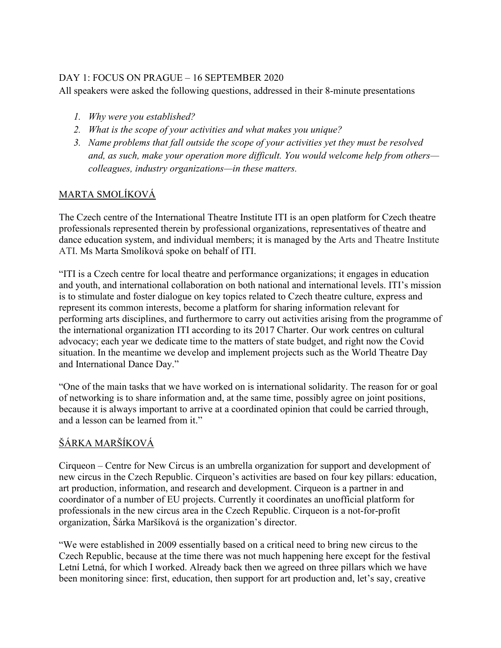## DAY 1: FOCUS ON PRAGUE – 16 SEPTEMBER 2020

All speakers were asked the following questions, addressed in their 8-minute presentations

- *1. Why were you established?*
- *2. What is the scope of your activities and what makes you unique?*
- *3. Name problems that fall outside the scope of your activities yet they must be resolved and, as such, make your operation more difficult. You would welcome help from others colleagues, industry organizations—in these matters.*

## MARTA SMOLÍKOVÁ

The Czech centre of the International Theatre Institute ITI is an open platform for Czech theatre professionals represented therein by professional organizations, representatives of theatre and dance education system, and individual members; it is managed by the Arts and Theatre Institute ATI. Ms Marta Smolíková spoke on behalf of ITI.

"ITI is a Czech centre for local theatre and performance organizations; it engages in education and youth, and international collaboration on both national and international levels. ITI's mission is to stimulate and foster dialogue on key topics related to Czech theatre culture, express and represent its common interests, become a platform for sharing information relevant for performing arts disciplines, and furthermore to carry out activities arising from the programme of the international organization ITI according to its 2017 Charter. Our work centres on cultural advocacy; each year we dedicate time to the matters of state budget, and right now the Covid situation. In the meantime we develop and implement projects such as the World Theatre Day and International Dance Day."

"One of the main tasks that we have worked on is international solidarity. The reason for or goal of networking is to share information and, at the same time, possibly agree on joint positions, because it is always important to arrive at a coordinated opinion that could be carried through, and a lesson can be learned from it."

# ŠÁRKA MARŠÍKOVÁ

Cirqueon – Centre for New Circus is an umbrella organization for support and development of new circus in the Czech Republic. Cirqueon's activities are based on four key pillars: education, art production, information, and research and development. Cirqueon is a partner in and coordinator of a number of EU projects. Currently it coordinates an unofficial platform for professionals in the new circus area in the Czech Republic. Cirqueon is a not-for-profit organization, Šárka Maršíková is the organization's director.

"We were established in 2009 essentially based on a critical need to bring new circus to the Czech Republic, because at the time there was not much happening here except for the festival Letní Letná, for which I worked. Already back then we agreed on three pillars which we have been monitoring since: first, education, then support for art production and, let's say, creative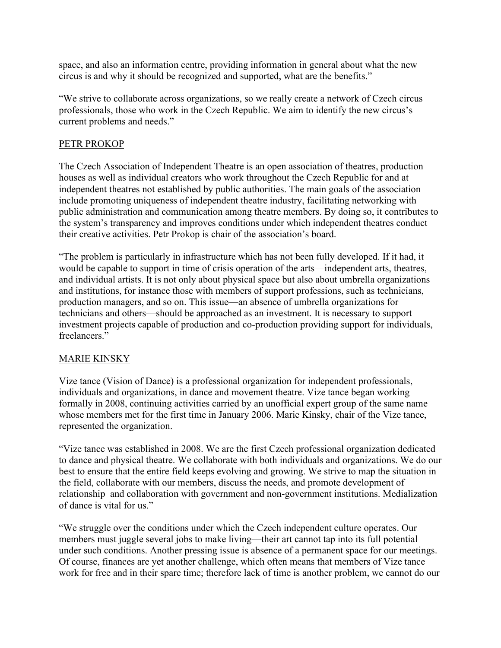space, and also an information centre, providing information in general about what the new circus is and why it should be recognized and supported, what are the benefits."

"We strive to collaborate across organizations, so we really create a network of Czech circus professionals, those who work in the Czech Republic. We aim to identify the new circus's current problems and needs."

#### PETR PROKOP

The Czech Association of Independent Theatre is an open association of theatres, production houses as well as individual creators who work throughout the Czech Republic for and at independent theatres not established by public authorities. The main goals of the association include promoting uniqueness of independent theatre industry, facilitating networking with public administration and communication among theatre members. By doing so, it contributes to the system's transparency and improves conditions under which independent theatres conduct their creative activities. Petr Prokop is chair of the association's board.

"The problem is particularly in infrastructure which has not been fully developed. If it had, it would be capable to support in time of crisis operation of the arts—independent arts, theatres, and individual artists. It is not only about physical space but also about umbrella organizations and institutions, for instance those with members of support professions, such as technicians, production managers, and so on. This issue—an absence of umbrella organizations for technicians and others—should be approached as an investment. It is necessary to support investment projects capable of production and co-production providing support for individuals, freelancers."

### MARIE KINSKY

Vize tance (Vision of Dance) is a professional organization for independent professionals, individuals and organizations, in dance and movement theatre. Vize tance began working formally in 2008, continuing activities carried by an unofficial expert group of the same name whose members met for the first time in January 2006. Marie Kinsky, chair of the Vize tance, represented the organization.

"Vize tance was established in 2008. We are the first Czech professional organization dedicated to dance and physical theatre. We collaborate with both individuals and organizations. We do our best to ensure that the entire field keeps evolving and growing. We strive to map the situation in the field, collaborate with our members, discuss the needs, and promote development of relationship and collaboration with government and non-government institutions. Medialization of dance is vital for us."

"We struggle over the conditions under which the Czech independent culture operates. Our members must juggle several jobs to make living—their art cannot tap into its full potential under such conditions. Another pressing issue is absence of a permanent space for our meetings. Of course, finances are yet another challenge, which often means that members of Vize tance work for free and in their spare time; therefore lack of time is another problem, we cannot do our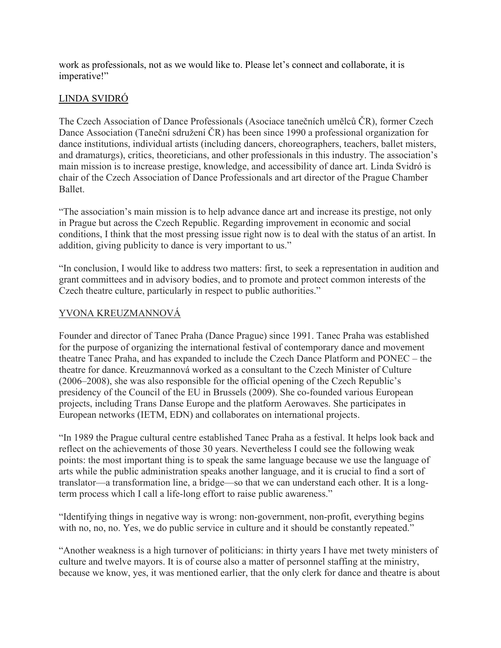work as professionals, not as we would like to. Please let's connect and collaborate, it is imperative!"

# LINDA SVIDRÓ

The Czech Association of Dance Professionals (Asociace tanečních umělců ČR), former Czech Dance Association (Taneční sdružení ČR) has been since 1990 a professional organization for dance institutions, individual artists (including dancers, choreographers, teachers, ballet misters, and dramaturgs), critics, theoreticians, and other professionals in this industry. The association's main mission is to increase prestige, knowledge, and accessibility of dance art. Linda Svidró is chair of the Czech Association of Dance Professionals and art director of the Prague Chamber Ballet.

"The association's main mission is to help advance dance art and increase its prestige, not only in Prague but across the Czech Republic. Regarding improvement in economic and social conditions, I think that the most pressing issue right now is to deal with the status of an artist. In addition, giving publicity to dance is very important to us."

"In conclusion, I would like to address two matters: first, to seek a representation in audition and grant committees and in advisory bodies, and to promote and protect common interests of the Czech theatre culture, particularly in respect to public authorities."

## YVONA KREUZMANNOVÁ

Founder and director of Tanec Praha (Dance Prague) since 1991. Tanec Praha was established for the purpose of organizing the international festival of contemporary dance and movement theatre Tanec Praha, and has expanded to include the Czech Dance Platform and PONEC – the theatre for dance. Kreuzmannová worked as a consultant to the Czech Minister of Culture (2006–2008), she was also responsible for the official opening of the Czech Republic's presidency of the Council of the EU in Brussels (2009). She co-founded various European projects, including Trans Danse Europe and the platform Aerowaves. She participates in European networks (IETM, EDN) and collaborates on international projects.

"In 1989 the Prague cultural centre established Tanec Praha as a festival. It helps look back and reflect on the achievements of those 30 years. Nevertheless I could see the following weak points: the most important thing is to speak the same language because we use the language of arts while the public administration speaks another language, and it is crucial to find a sort of translator—a transformation line, a bridge—so that we can understand each other. It is a longterm process which I call a life-long effort to raise public awareness."

"Identifying things in negative way is wrong: non-government, non-profit, everything begins with no, no, no. Yes, we do public service in culture and it should be constantly repeated."

"Another weakness is a high turnover of politicians: in thirty years I have met twety ministers of culture and twelve mayors. It is of course also a matter of personnel staffing at the ministry, because we know, yes, it was mentioned earlier, that the only clerk for dance and theatre is about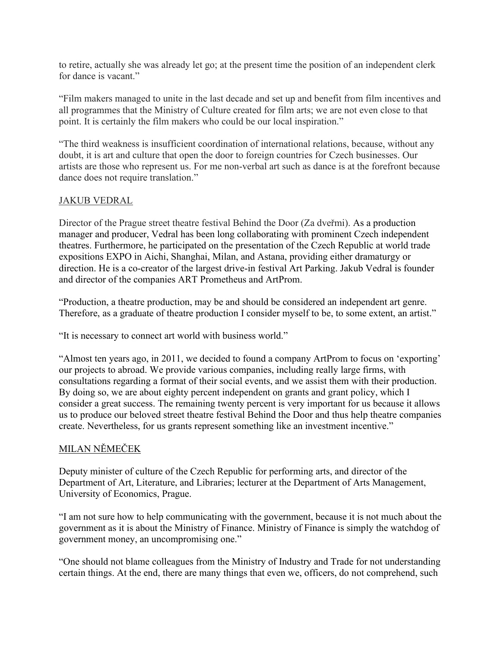to retire, actually she was already let go; at the present time the position of an independent clerk for dance is vacant."

"Film makers managed to unite in the last decade and set up and benefit from film incentives and all programmes that the Ministry of Culture created for film arts; we are not even close to that point. It is certainly the film makers who could be our local inspiration."

"The third weakness is insufficient coordination of international relations, because, without any doubt, it is art and culture that open the door to foreign countries for Czech businesses. Our artists are those who represent us. For me non-verbal art such as dance is at the forefront because dance does not require translation."

#### JAKUB VEDRAL

Director of the Prague street theatre festival Behind the Door (Za dveřmi). As a production manager and producer, Vedral has been long collaborating with prominent Czech independent theatres. Furthermore, he participated on the presentation of the Czech Republic at world trade expositions EXPO in Aichi, Shanghai, Milan, and Astana, providing either dramaturgy or direction. He is a co-creator of the largest drive-in festival Art Parking. Jakub Vedral is founder and director of the companies ART Prometheus and ArtProm.

"Production, a theatre production, may be and should be considered an independent art genre. Therefore, as a graduate of theatre production I consider myself to be, to some extent, an artist."

"It is necessary to connect art world with business world."

"Almost ten years ago, in 2011, we decided to found a company ArtProm to focus on 'exporting' our projects to abroad. We provide various companies, including really large firms, with consultations regarding a format of their social events, and we assist them with their production. By doing so, we are about eighty percent independent on grants and grant policy, which I consider a great success. The remaining twenty percent is very important for us because it allows us to produce our beloved street theatre festival Behind the Door and thus help theatre companies create. Nevertheless, for us grants represent something like an investment incentive."

### MILAN NĚMEČEK

Deputy minister of culture of the Czech Republic for performing arts, and director of the Department of Art, Literature, and Libraries; lecturer at the Department of Arts Management, University of Economics, Prague.

"I am not sure how to help communicating with the government, because it is not much about the government as it is about the Ministry of Finance. Ministry of Finance is simply the watchdog of government money, an uncompromising one."

"One should not blame colleagues from the Ministry of Industry and Trade for not understanding certain things. At the end, there are many things that even we, officers, do not comprehend, such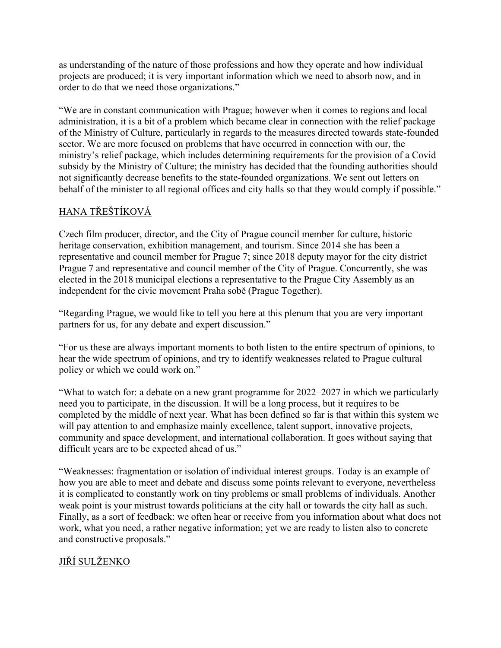as understanding of the nature of those professions and how they operate and how individual projects are produced; it is very important information which we need to absorb now, and in order to do that we need those organizations."

"We are in constant communication with Prague; however when it comes to regions and local administration, it is a bit of a problem which became clear in connection with the relief package of the Ministry of Culture, particularly in regards to the measures directed towards state-founded sector. We are more focused on problems that have occurred in connection with our, the ministry's relief package, which includes determining requirements for the provision of a Covid subsidy by the Ministry of Culture; the ministry has decided that the founding authorities should not significantly decrease benefits to the state-founded organizations. We sent out letters on behalf of the minister to all regional offices and city halls so that they would comply if possible."

# HANA TŘEŠTÍKOVÁ

Czech film producer, director, and the City of Prague council member for culture, historic heritage conservation, exhibition management, and tourism. Since 2014 she has been a representative and council member for Prague 7; since 2018 deputy mayor for the city district Prague 7 and representative and council member of the City of Prague. Concurrently, she was elected in the 2018 municipal elections a representative to the Prague City Assembly as an independent for the civic movement Praha sobě (Prague Together).

"Regarding Prague, we would like to tell you here at this plenum that you are very important partners for us, for any debate and expert discussion."

"For us these are always important moments to both listen to the entire spectrum of opinions, to hear the wide spectrum of opinions, and try to identify weaknesses related to Prague cultural policy or which we could work on."

"What to watch for: a debate on a new grant programme for 2022–2027 in which we particularly need you to participate, in the discussion. It will be a long process, but it requires to be completed by the middle of next year. What has been defined so far is that within this system we will pay attention to and emphasize mainly excellence, talent support, innovative projects, community and space development, and international collaboration. It goes without saying that difficult years are to be expected ahead of us."

"Weaknesses: fragmentation or isolation of individual interest groups. Today is an example of how you are able to meet and debate and discuss some points relevant to everyone, nevertheless it is complicated to constantly work on tiny problems or small problems of individuals. Another weak point is your mistrust towards politicians at the city hall or towards the city hall as such. Finally, as a sort of feedback: we often hear or receive from you information about what does not work, what you need, a rather negative information; yet we are ready to listen also to concrete and constructive proposals."

# JIŘÍ SULŽENKO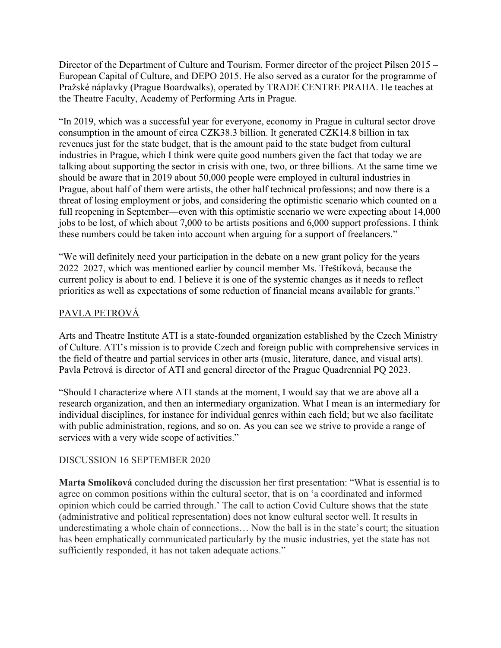Director of the Department of Culture and Tourism. Former director of the project Pilsen 2015 – European Capital of Culture, and DEPO 2015. He also served as a curator for the programme of Pražské náplavky (Prague Boardwalks), operated by TRADE CENTRE PRAHA. He teaches at the Theatre Faculty, Academy of Performing Arts in Prague.

"In 2019, which was a successful year for everyone, economy in Prague in cultural sector drove consumption in the amount of circa CZK38.3 billion. It generated CZK14.8 billion in tax revenues just for the state budget, that is the amount paid to the state budget from cultural industries in Prague, which I think were quite good numbers given the fact that today we are talking about supporting the sector in crisis with one, two, or three billions. At the same time we should be aware that in 2019 about 50,000 people were employed in cultural industries in Prague, about half of them were artists, the other half technical professions; and now there is a threat of losing employment or jobs, and considering the optimistic scenario which counted on a full reopening in September—even with this optimistic scenario we were expecting about 14,000 jobs to be lost, of which about 7,000 to be artists positions and 6,000 support professions. I think these numbers could be taken into account when arguing for a support of freelancers."

"We will definitely need your participation in the debate on a new grant policy for the years 2022–2027, which was mentioned earlier by council member Ms. Třeštíková, because the current policy is about to end. I believe it is one of the systemic changes as it needs to reflect priorities as well as expectations of some reduction of financial means available for grants."

## PAVLA PETROVÁ

Arts and Theatre Institute ATI is a state-founded organization established by the Czech Ministry of Culture. ATI's mission is to provide Czech and foreign public with comprehensive services in the field of theatre and partial services in other arts (music, literature, dance, and visual arts). Pavla Petrová is director of ATI and general director of the Prague Quadrennial PQ 2023.

"Should I characterize where ATI stands at the moment, I would say that we are above all a research organization, and then an intermediary organization. What I mean is an intermediary for individual disciplines, for instance for individual genres within each field; but we also facilitate with public administration, regions, and so on. As you can see we strive to provide a range of services with a very wide scope of activities."

### DISCUSSION 16 SEPTEMBER 2020

**Marta Smolíková** concluded during the discussion her first presentation: "What is essential is to agree on common positions within the cultural sector, that is on 'a coordinated and informed opinion which could be carried through.' The call to action Covid Culture shows that the state (administrative and political representation) does not know cultural sector well. It results in underestimating a whole chain of connections… Now the ball is in the state's court; the situation has been emphatically communicated particularly by the music industries, yet the state has not sufficiently responded, it has not taken adequate actions."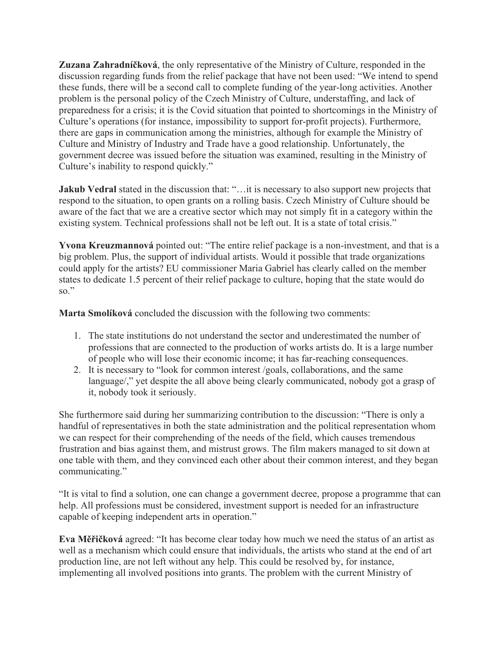**Zuzana Zahradníčková**, the only representative of the Ministry of Culture, responded in the discussion regarding funds from the relief package that have not been used: "We intend to spend these funds, there will be a second call to complete funding of the year-long activities. Another problem is the personal policy of the Czech Ministry of Culture, understaffing, and lack of preparedness for a crisis; it is the Covid situation that pointed to shortcomings in the Ministry of Culture's operations (for instance, impossibility to support for-profit projects). Furthermore, there are gaps in communication among the ministries, although for example the Ministry of Culture and Ministry of Industry and Trade have a good relationship. Unfortunately, the government decree was issued before the situation was examined, resulting in the Ministry of Culture's inability to respond quickly."

**Jakub Vedral** stated in the discussion that: "...it is necessary to also support new projects that respond to the situation, to open grants on a rolling basis. Czech Ministry of Culture should be aware of the fact that we are a creative sector which may not simply fit in a category within the existing system. Technical professions shall not be left out. It is a state of total crisis."

**Yvona Kreuzmannová** pointed out: "The entire relief package is a non-investment, and that is a big problem. Plus, the support of individual artists. Would it possible that trade organizations could apply for the artists? EU commissioner Maria Gabriel has clearly called on the member states to dedicate 1.5 percent of their relief package to culture, hoping that the state would do so."

**Marta Smolíková** concluded the discussion with the following two comments:

- 1. The state institutions do not understand the sector and underestimated the number of professions that are connected to the production of works artists do. It is a large number of people who will lose their economic income; it has far-reaching consequences.
- 2. It is necessary to "look for common interest /goals, collaborations, and the same language/," yet despite the all above being clearly communicated, nobody got a grasp of it, nobody took it seriously.

She furthermore said during her summarizing contribution to the discussion: "There is only a handful of representatives in both the state administration and the political representation whom we can respect for their comprehending of the needs of the field, which causes tremendous frustration and bias against them, and mistrust grows. The film makers managed to sit down at one table with them, and they convinced each other about their common interest, and they began communicating."

"It is vital to find a solution, one can change a government decree, propose a programme that can help. All professions must be considered, investment support is needed for an infrastructure capable of keeping independent arts in operation."

**Eva Měřičková** agreed: "It has become clear today how much we need the status of an artist as well as a mechanism which could ensure that individuals, the artists who stand at the end of art production line, are not left without any help. This could be resolved by, for instance, implementing all involved positions into grants. The problem with the current Ministry of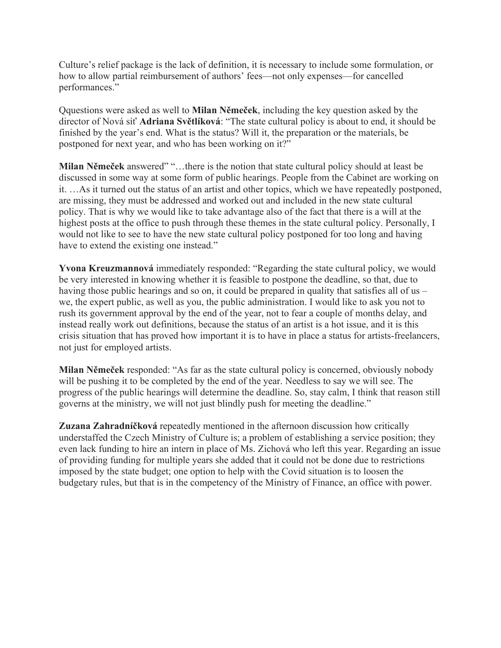Culture's relief package is the lack of definition, it is necessary to include some formulation, or how to allow partial reimbursement of authors' fees—not only expenses—for cancelled performances."

Qquestions were asked as well to **Milan Němeček**, including the key question asked by the director of Nová síť **Adriana Světlíková**: "The state cultural policy is about to end, it should be finished by the year's end. What is the status? Will it, the preparation or the materials, be postponed for next year, and who has been working on it?"

**Milan Němeček** answered" "…there is the notion that state cultural policy should at least be discussed in some way at some form of public hearings. People from the Cabinet are working on it. …As it turned out the status of an artist and other topics, which we have repeatedly postponed, are missing, they must be addressed and worked out and included in the new state cultural policy. That is why we would like to take advantage also of the fact that there is a will at the highest posts at the office to push through these themes in the state cultural policy. Personally, I would not like to see to have the new state cultural policy postponed for too long and having have to extend the existing one instead."

**Yvona Kreuzmannová** immediately responded: "Regarding the state cultural policy, we would be very interested in knowing whether it is feasible to postpone the deadline, so that, due to having those public hearings and so on, it could be prepared in quality that satisfies all of us – we, the expert public, as well as you, the public administration. I would like to ask you not to rush its government approval by the end of the year, not to fear a couple of months delay, and instead really work out definitions, because the status of an artist is a hot issue, and it is this crisis situation that has proved how important it is to have in place a status for artists-freelancers, not just for employed artists.

**Milan Němeček** responded: "As far as the state cultural policy is concerned, obviously nobody will be pushing it to be completed by the end of the year. Needless to say we will see. The progress of the public hearings will determine the deadline. So, stay calm, I think that reason still governs at the ministry, we will not just blindly push for meeting the deadline."

**Zuzana Zahradníčková** repeatedly mentioned in the afternoon discussion how critically understaffed the Czech Ministry of Culture is; a problem of establishing a service position; they even lack funding to hire an intern in place of Ms. Zichová who left this year. Regarding an issue of providing funding for multiple years she added that it could not be done due to restrictions imposed by the state budget; one option to help with the Covid situation is to loosen the budgetary rules, but that is in the competency of the Ministry of Finance, an office with power.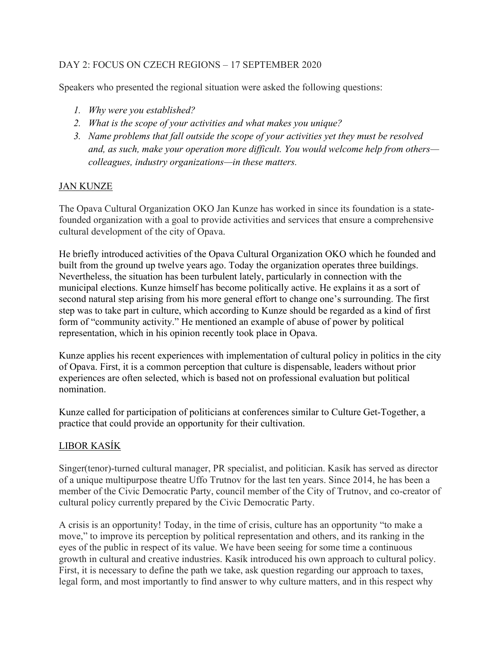## DAY 2: FOCUS ON CZECH REGIONS – 17 SEPTEMBER 2020

Speakers who presented the regional situation were asked the following questions:

- *1. Why were you established?*
- *2. What is the scope of your activities and what makes you unique?*
- *3. Name problems that fall outside the scope of your activities yet they must be resolved and, as such, make your operation more difficult. You would welcome help from others colleagues, industry organizations—in these matters.*

#### JAN KUNZE

The Opava Cultural Organization OKO Jan Kunze has worked in since its foundation is a statefounded organization with a goal to provide activities and services that ensure a comprehensive cultural development of the city of Opava.

He briefly introduced activities of the Opava Cultural Organization OKO which he founded and built from the ground up twelve years ago. Today the organization operates three buildings. Nevertheless, the situation has been turbulent lately, particularly in connection with the municipal elections. Kunze himself has become politically active. He explains it as a sort of second natural step arising from his more general effort to change one's surrounding. The first step was to take part in culture, which according to Kunze should be regarded as a kind of first form of "community activity." He mentioned an example of abuse of power by political representation, which in his opinion recently took place in Opava.

Kunze applies his recent experiences with implementation of cultural policy in politics in the city of Opava. First, it is a common perception that culture is dispensable, leaders without prior experiences are often selected, which is based not on professional evaluation but political nomination.

Kunze called for participation of politicians at conferences similar to Culture Get-Together, a practice that could provide an opportunity for their cultivation.

### LIBOR KASÍK

Singer(tenor)-turned cultural manager, PR specialist, and politician. Kasík has served as director of a unique multipurpose theatre Uffo Trutnov for the last ten years. Since 2014, he has been a member of the Civic Democratic Party, council member of the City of Trutnov, and co-creator of cultural policy currently prepared by the Civic Democratic Party.

A crisis is an opportunity! Today, in the time of crisis, culture has an opportunity "to make a move," to improve its perception by political representation and others, and its ranking in the eyes of the public in respect of its value. We have been seeing for some time a continuous growth in cultural and creative industries. Kasík introduced his own approach to cultural policy. First, it is necessary to define the path we take, ask question regarding our approach to taxes, legal form, and most importantly to find answer to why culture matters, and in this respect why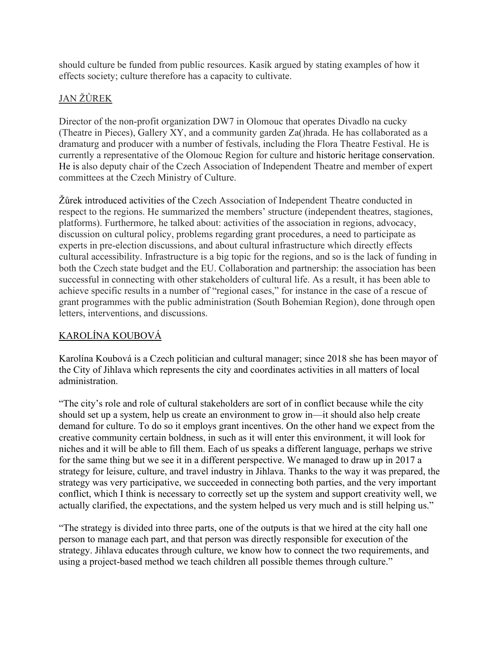should culture be funded from public resources. Kasík argued by stating examples of how it effects society; culture therefore has a capacity to cultivate.

# JAN ŽŮREK

Director of the non-profit organization DW7 in Olomouc that operates Divadlo na cucky (Theatre in Pieces), Gallery XY, and a community garden Za()hrada. He has collaborated as a dramaturg and producer with a number of festivals, including the Flora Theatre Festival. He is currently a representative of the Olomouc Region for culture and historic heritage conservation. He is also deputy chair of the Czech Association of Independent Theatre and member of expert committees at the Czech Ministry of Culture.

Žůrek introduced activities of the Czech Association of Independent Theatre conducted in respect to the regions. He summarized the members' structure (independent theatres, stagiones, platforms). Furthermore, he talked about: activities of the association in regions, advocacy, discussion on cultural policy, problems regarding grant procedures, a need to participate as experts in pre-election discussions, and about cultural infrastructure which directly effects cultural accessibility. Infrastructure is a big topic for the regions, and so is the lack of funding in both the Czech state budget and the EU. Collaboration and partnership: the association has been successful in connecting with other stakeholders of cultural life. As a result, it has been able to achieve specific results in a number of "regional cases," for instance in the case of a rescue of grant programmes with the public administration (South Bohemian Region), done through open letters, interventions, and discussions.

# KAROLÍNA KOUBOVÁ

Karolína Koubová is a Czech politician and cultural manager; since 2018 she has been mayor of the City of Jihlava which represents the city and coordinates activities in all matters of local administration.

"The city's role and role of cultural stakeholders are sort of in conflict because while the city should set up a system, help us create an environment to grow in—it should also help create demand for culture. To do so it employs grant incentives. On the other hand we expect from the creative community certain boldness, in such as it will enter this environment, it will look for niches and it will be able to fill them. Each of us speaks a different language, perhaps we strive for the same thing but we see it in a different perspective. We managed to draw up in 2017 a strategy for leisure, culture, and travel industry in Jihlava. Thanks to the way it was prepared, the strategy was very participative, we succeeded in connecting both parties, and the very important conflict, which I think is necessary to correctly set up the system and support creativity well, we actually clarified, the expectations, and the system helped us very much and is still helping us."

"The strategy is divided into three parts, one of the outputs is that we hired at the city hall one person to manage each part, and that person was directly responsible for execution of the strategy. Jihlava educates through culture, we know how to connect the two requirements, and using a project-based method we teach children all possible themes through culture."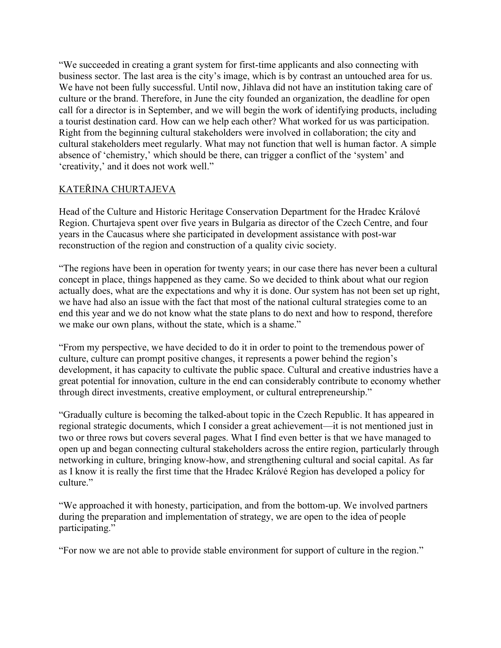"We succeeded in creating a grant system for first-time applicants and also connecting with business sector. The last area is the city's image, which is by contrast an untouched area for us. We have not been fully successful. Until now, Jihlava did not have an institution taking care of culture or the brand. Therefore, in June the city founded an organization, the deadline for open call for a director is in September, and we will begin the work of identifying products, including a tourist destination card. How can we help each other? What worked for us was participation. Right from the beginning cultural stakeholders were involved in collaboration; the city and cultural stakeholders meet regularly. What may not function that well is human factor. A simple absence of 'chemistry,' which should be there, can trigger a conflict of the 'system' and 'creativity,' and it does not work well."

## KATEŘINA CHURTAJEVA

Head of the Culture and Historic Heritage Conservation Department for the Hradec Králové Region. Churtajeva spent over five years in Bulgaria as director of the Czech Centre, and four years in the Caucasus where she participated in development assistance with post-war reconstruction of the region and construction of a quality civic society.

"The regions have been in operation for twenty years; in our case there has never been a cultural concept in place, things happened as they came. So we decided to think about what our region actually does, what are the expectations and why it is done. Our system has not been set up right, we have had also an issue with the fact that most of the national cultural strategies come to an end this year and we do not know what the state plans to do next and how to respond, therefore we make our own plans, without the state, which is a shame."

"From my perspective, we have decided to do it in order to point to the tremendous power of culture, culture can prompt positive changes, it represents a power behind the region's development, it has capacity to cultivate the public space. Cultural and creative industries have a great potential for innovation, culture in the end can considerably contribute to economy whether through direct investments, creative employment, or cultural entrepreneurship."

"Gradually culture is becoming the talked-about topic in the Czech Republic. It has appeared in regional strategic documents, which I consider a great achievement—it is not mentioned just in two or three rows but covers several pages. What I find even better is that we have managed to open up and began connecting cultural stakeholders across the entire region, particularly through networking in culture, bringing know-how, and strengthening cultural and social capital. As far as I know it is really the first time that the Hradec Králové Region has developed a policy for culture."

"We approached it with honesty, participation, and from the bottom-up. We involved partners during the preparation and implementation of strategy, we are open to the idea of people participating."

"For now we are not able to provide stable environment for support of culture in the region."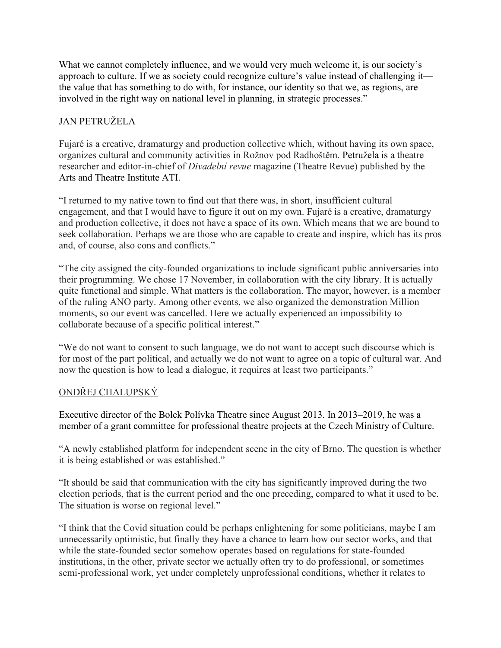What we cannot completely influence, and we would very much welcome it, is our society's approach to culture. If we as society could recognize culture's value instead of challenging it the value that has something to do with, for instance, our identity so that we, as regions, are involved in the right way on national level in planning, in strategic processes."

## JAN PETRUŽELA

Fujaré is a creative, dramaturgy and production collective which, without having its own space, organizes cultural and community activities in Rožnov pod Radhoštěm. Petružela is a theatre researcher and editor-in-chief of *Divadelní revue* magazine (Theatre Revue) published by the Arts and Theatre Institute ATI.

"I returned to my native town to find out that there was, in short, insufficient cultural engagement, and that I would have to figure it out on my own. Fujaré is a creative, dramaturgy and production collective, it does not have a space of its own. Which means that we are bound to seek collaboration. Perhaps we are those who are capable to create and inspire, which has its pros and, of course, also cons and conflicts."

"The city assigned the city-founded organizations to include significant public anniversaries into their programming. We chose 17 November, in collaboration with the city library. It is actually quite functional and simple. What matters is the collaboration. The mayor, however, is a member of the ruling ANO party. Among other events, we also organized the demonstration Million moments, so our event was cancelled. Here we actually experienced an impossibility to collaborate because of a specific political interest."

"We do not want to consent to such language, we do not want to accept such discourse which is for most of the part political, and actually we do not want to agree on a topic of cultural war. And now the question is how to lead a dialogue, it requires at least two participants."

### ONDŘEJ CHALUPSKÝ

Executive director of the Bolek Polívka Theatre since August 2013. In 2013–2019, he was a member of a grant committee for professional theatre projects at the Czech Ministry of Culture.

"A newly established platform for independent scene in the city of Brno. The question is whether it is being established or was established."

"It should be said that communication with the city has significantly improved during the two election periods, that is the current period and the one preceding, compared to what it used to be. The situation is worse on regional level."

"I think that the Covid situation could be perhaps enlightening for some politicians, maybe I am unnecessarily optimistic, but finally they have a chance to learn how our sector works, and that while the state-founded sector somehow operates based on regulations for state-founded institutions, in the other, private sector we actually often try to do professional, or sometimes semi-professional work, yet under completely unprofessional conditions, whether it relates to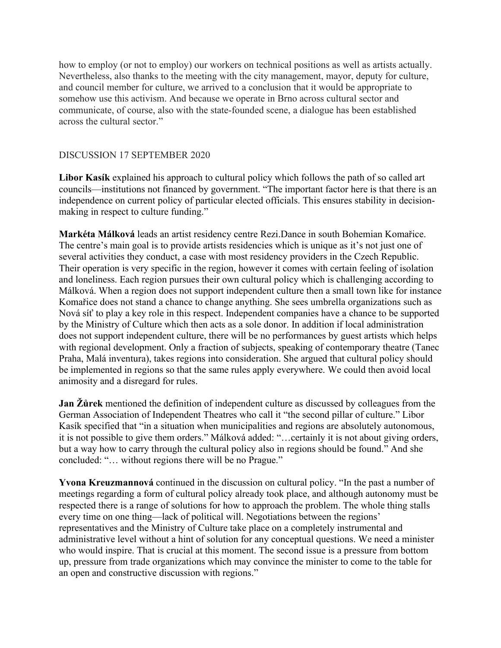how to employ (or not to employ) our workers on technical positions as well as artists actually. Nevertheless, also thanks to the meeting with the city management, mayor, deputy for culture, and council member for culture, we arrived to a conclusion that it would be appropriate to somehow use this activism. And because we operate in Brno across cultural sector and communicate, of course, also with the state-founded scene, a dialogue has been established across the cultural sector."

#### DISCUSSION 17 SEPTEMBER 2020

**Libor Kasík** explained his approach to cultural policy which follows the path of so called art councils—institutions not financed by government. "The important factor here is that there is an independence on current policy of particular elected officials. This ensures stability in decisionmaking in respect to culture funding."

**Markéta Málková** leads an artist residency centre Rezi.Dance in south Bohemian Komařice. The centre's main goal is to provide artists residencies which is unique as it's not just one of several activities they conduct, a case with most residency providers in the Czech Republic. Their operation is very specific in the region, however it comes with certain feeling of isolation and loneliness. Each region pursues their own cultural policy which is challenging according to Málková. When a region does not support independent culture then a small town like for instance Komařice does not stand a chance to change anything. She sees umbrella organizations such as Nová síť to play a key role in this respect. Independent companies have a chance to be supported by the Ministry of Culture which then acts as a sole donor. In addition if local administration does not support independent culture, there will be no performances by guest artists which helps with regional development. Only a fraction of subjects, speaking of contemporary theatre (Tanec Praha, Malá inventura), takes regions into consideration. She argued that cultural policy should be implemented in regions so that the same rules apply everywhere. We could then avoid local animosity and a disregard for rules.

**Jan Žůrek** mentioned the definition of independent culture as discussed by colleagues from the German Association of Independent Theatres who call it "the second pillar of culture." Libor Kasík specified that "in a situation when municipalities and regions are absolutely autonomous, it is not possible to give them orders." Málková added: "…certainly it is not about giving orders, but a way how to carry through the cultural policy also in regions should be found." And she concluded: "… without regions there will be no Prague."

**Yvona Kreuzmannová** continued in the discussion on cultural policy. "In the past a number of meetings regarding a form of cultural policy already took place, and although autonomy must be respected there is a range of solutions for how to approach the problem. The whole thing stalls every time on one thing—lack of political will. Negotiations between the regions' representatives and the Ministry of Culture take place on a completely instrumental and administrative level without a hint of solution for any conceptual questions. We need a minister who would inspire. That is crucial at this moment. The second issue is a pressure from bottom up, pressure from trade organizations which may convince the minister to come to the table for an open and constructive discussion with regions."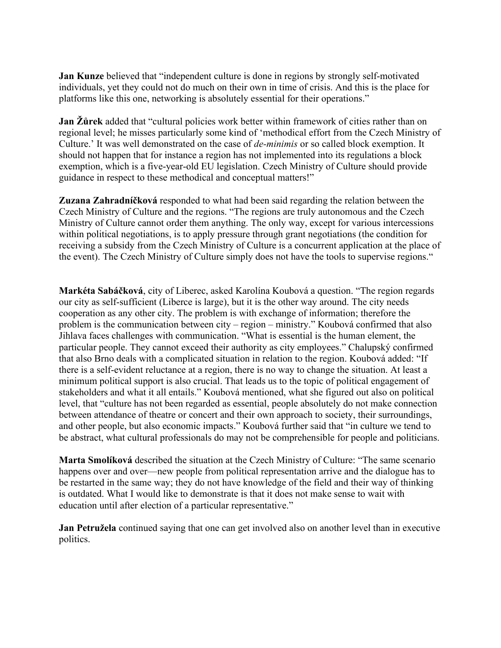**Jan Kunze** believed that "independent culture is done in regions by strongly self-motivated individuals, yet they could not do much on their own in time of crisis. And this is the place for platforms like this one, networking is absolutely essential for their operations."

**Jan Žůrek** added that "cultural policies work better within framework of cities rather than on regional level; he misses particularly some kind of 'methodical effort from the Czech Ministry of Culture.' It was well demonstrated on the case of *de-minimis* or so called block exemption. It should not happen that for instance a region has not implemented into its regulations a block exemption, which is a five-year-old EU legislation. Czech Ministry of Culture should provide guidance in respect to these methodical and conceptual matters!"

**Zuzana Zahradníčková** responded to what had been said regarding the relation between the Czech Ministry of Culture and the regions. "The regions are truly autonomous and the Czech Ministry of Culture cannot order them anything. The only way, except for various intercessions within political negotiations, is to apply pressure through grant negotiations (the condition for receiving a subsidy from the Czech Ministry of Culture is a concurrent application at the place of the event). The Czech Ministry of Culture simply does not have the tools to supervise regions."

**Markéta Sabáčková**, city of Liberec, asked Karolína Koubová a question. "The region regards our city as self-sufficient (Liberce is large), but it is the other way around. The city needs cooperation as any other city. The problem is with exchange of information; therefore the problem is the communication between city – region – ministry." Koubová confirmed that also Jihlava faces challenges with communication. "What is essential is the human element, the particular people. They cannot exceed their authority as city employees." Chalupský confirmed that also Brno deals with a complicated situation in relation to the region. Koubová added: "If there is a self-evident reluctance at a region, there is no way to change the situation. At least a minimum political support is also crucial. That leads us to the topic of political engagement of stakeholders and what it all entails." Koubová mentioned, what she figured out also on political level, that "culture has not been regarded as essential, people absolutely do not make connection between attendance of theatre or concert and their own approach to society, their surroundings, and other people, but also economic impacts." Koubová further said that "in culture we tend to be abstract, what cultural professionals do may not be comprehensible for people and politicians.

**Marta Smolíková** described the situation at the Czech Ministry of Culture: "The same scenario happens over and over—new people from political representation arrive and the dialogue has to be restarted in the same way; they do not have knowledge of the field and their way of thinking is outdated. What I would like to demonstrate is that it does not make sense to wait with education until after election of a particular representative."

**Jan Petružela** continued saying that one can get involved also on another level than in executive politics.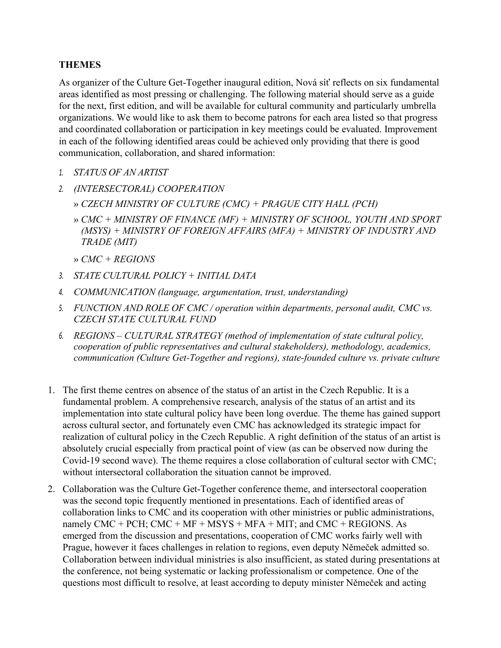### **THEMES**

As organizer of the Culture Get-Together inaugural edition, Nová síť reflects on six fundamental areas identified as most pressing or challenging. The following material should serve as a guide for the next, first edition, and will be available for cultural community and particularly umbrella organizations. We would like to ask them to become patrons for each area listed so that progress and coordinated collaboration or participation in key meetings could be evaluated. Improvement in each of the following identified areas could be achieved only providing that there is good communication, collaboration, and shared information:

- *1. STATUS OF AN ARTIST*
- *2. (INTERSECTORAL) COOPERATION*
	- » *CZECH MINISTRY OF CULTURE (CMC) + PRAGUE CITY HALL (PCH)*
	- » *CMC + MINISTRY OF FINANCE (MF) + MINISTRY OF SCHOOL, YOUTH AND SPORT (MSYS) + MINISTRY OF FOREIGN AFFAIRS (MFA) + MINISTRY OF INDUSTRY AND TRADE (MIT)*
	- » *CMC + REGIONS*
- *3. STATE CULTURAL POLICY + INITIAL DATA*
- *4. COMMUNICATION (language, argumentation, trust, understanding)*
- *5. FUNCTION AND ROLE OF CMC / operation within departments, personal audit, CMC vs. CZECH STATE CULTURAL FUND*
- *6. REGIONS – CULTURAL STRATEGY (method of implementation of state cultural policy, cooperation of public representatives and cultural stakeholders), methodology, academics, communication (Culture Get-Together and regions), state-founded culture vs. private culture*
- 1. The first theme centres on absence of the status of an artist in the Czech Republic. It is a fundamental problem. A comprehensive research, analysis of the status of an artist and its implementation into state cultural policy have been long overdue. The theme has gained support across cultural sector, and fortunately even CMC has acknowledged its strategic impact for realization of cultural policy in the Czech Republic. A right definition of the status of an artist is absolutely crucial especially from practical point of view (as can be observed now during the Covid-19 second wave). The theme requires a close collaboration of cultural sector with CMC; without intersectoral collaboration the situation cannot be improved.
- 2. Collaboration was the Culture Get-Together conference theme, and intersectoral cooperation was the second topic frequently mentioned in presentations. Each of identified areas of collaboration links to CMC and its cooperation with other ministries or public administrations, namely CMC + PCH; CMC + MF + MSYS + MFA + MIT; and CMC + REGIONS. As emerged from the discussion and presentations, cooperation of CMC works fairly well with Prague, however it faces challenges in relation to regions, even deputy Němeček admitted so. Collaboration between individual ministries is also insufficient, as stated during presentations at the conference, not being systematic or lacking professionalism or competence. One of the questions most difficult to resolve, at least according to deputy minister Němeček and acting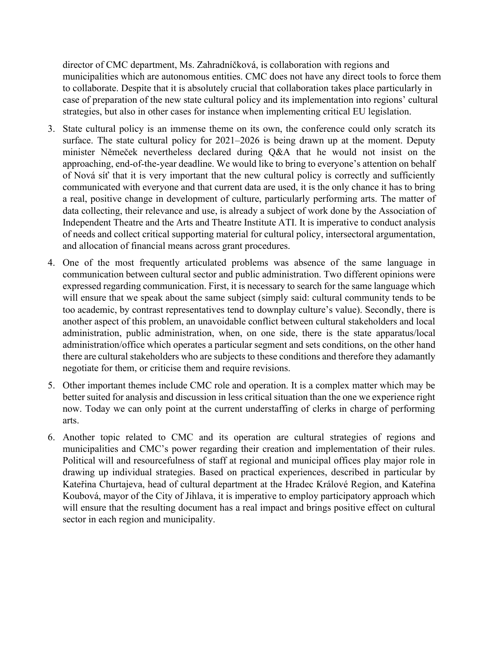director of CMC department, Ms. Zahradníčková, is collaboration with regions and municipalities which are autonomous entities. CMC does not have any direct tools to force them to collaborate. Despite that it is absolutely crucial that collaboration takes place particularly in case of preparation of the new state cultural policy and its implementation into regions' cultural strategies, but also in other cases for instance when implementing critical EU legislation.

- 3. State cultural policy is an immense theme on its own, the conference could only scratch its surface. The state cultural policy for 2021–2026 is being drawn up at the moment. Deputy minister Němeček nevertheless declared during Q&A that he would not insist on the approaching, end-of-the-year deadline. We would like to bring to everyone's attention on behalf of Nová síť that it is very important that the new cultural policy is correctly and sufficiently communicated with everyone and that current data are used, it is the only chance it has to bring a real, positive change in development of culture, particularly performing arts. The matter of data collecting, their relevance and use, is already a subject of work done by the Association of Independent Theatre and the Arts and Theatre Institute ATI. It is imperative to conduct analysis of needs and collect critical supporting material for cultural policy, intersectoral argumentation, and allocation of financial means across grant procedures.
- 4. One of the most frequently articulated problems was absence of the same language in communication between cultural sector and public administration. Two different opinions were expressed regarding communication. First, it is necessary to search for the same language which will ensure that we speak about the same subject (simply said: cultural community tends to be too academic, by contrast representatives tend to downplay culture's value). Secondly, there is another aspect of this problem, an unavoidable conflict between cultural stakeholders and local administration, public administration, when, on one side, there is the state apparatus/local administration/office which operates a particular segment and sets conditions, on the other hand there are cultural stakeholders who are subjects to these conditions and therefore they adamantly negotiate for them, or criticise them and require revisions.
- 5. Other important themes include CMC role and operation. It is a complex matter which may be better suited for analysis and discussion in less critical situation than the one we experience right now. Today we can only point at the current understaffing of clerks in charge of performing arts.
- 6. Another topic related to CMC and its operation are cultural strategies of regions and municipalities and CMC's power regarding their creation and implementation of their rules. Political will and resourcefulness of staff at regional and municipal offices play major role in drawing up individual strategies. Based on practical experiences, described in particular by Kateřina Churtajeva, head of cultural department at the Hradec Králové Region, and Kateřina Koubová, mayor of the City of Jihlava, it is imperative to employ participatory approach which will ensure that the resulting document has a real impact and brings positive effect on cultural sector in each region and municipality.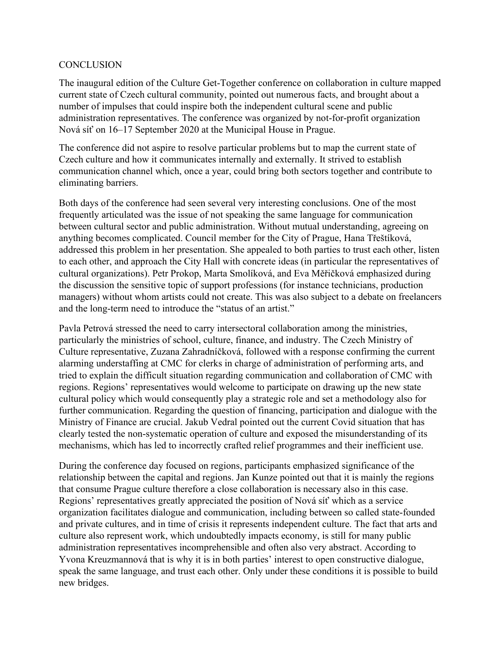#### **CONCLUSION**

The inaugural edition of the Culture Get-Together conference on collaboration in culture mapped current state of Czech cultural community, pointed out numerous facts, and brought about a number of impulses that could inspire both the independent cultural scene and public administration representatives. The conference was organized by not-for-profit organization Nová síť on 16–17 September 2020 at the Municipal House in Prague.

The conference did not aspire to resolve particular problems but to map the current state of Czech culture and how it communicates internally and externally. It strived to establish communication channel which, once a year, could bring both sectors together and contribute to eliminating barriers.

Both days of the conference had seen several very interesting conclusions. One of the most frequently articulated was the issue of not speaking the same language for communication between cultural sector and public administration. Without mutual understanding, agreeing on anything becomes complicated. Council member for the City of Prague, Hana Třeštíková, addressed this problem in her presentation. She appealed to both parties to trust each other, listen to each other, and approach the City Hall with concrete ideas (in particular the representatives of cultural organizations). Petr Prokop, Marta Smolíková, and Eva Měřičková emphasized during the discussion the sensitive topic of support professions (for instance technicians, production managers) without whom artists could not create. This was also subject to a debate on freelancers and the long-term need to introduce the "status of an artist."

Pavla Petrová stressed the need to carry intersectoral collaboration among the ministries, particularly the ministries of school, culture, finance, and industry. The Czech Ministry of Culture representative, Zuzana Zahradníčková, followed with a response confirming the current alarming understaffing at CMC for clerks in charge of administration of performing arts, and tried to explain the difficult situation regarding communication and collaboration of CMC with regions. Regions' representatives would welcome to participate on drawing up the new state cultural policy which would consequently play a strategic role and set a methodology also for further communication. Regarding the question of financing, participation and dialogue with the Ministry of Finance are crucial. Jakub Vedral pointed out the current Covid situation that has clearly tested the non-systematic operation of culture and exposed the misunderstanding of its mechanisms, which has led to incorrectly crafted relief programmes and their inefficient use.

During the conference day focused on regions, participants emphasized significance of the relationship between the capital and regions. Jan Kunze pointed out that it is mainly the regions that consume Prague culture therefore a close collaboration is necessary also in this case. Regions' representatives greatly appreciated the position of Nová síť which as a service organization facilitates dialogue and communication, including between so called state-founded and private cultures, and in time of crisis it represents independent culture. The fact that arts and culture also represent work, which undoubtedly impacts economy, is still for many public administration representatives incomprehensible and often also very abstract. According to Yvona Kreuzmannová that is why it is in both parties' interest to open constructive dialogue, speak the same language, and trust each other. Only under these conditions it is possible to build new bridges.